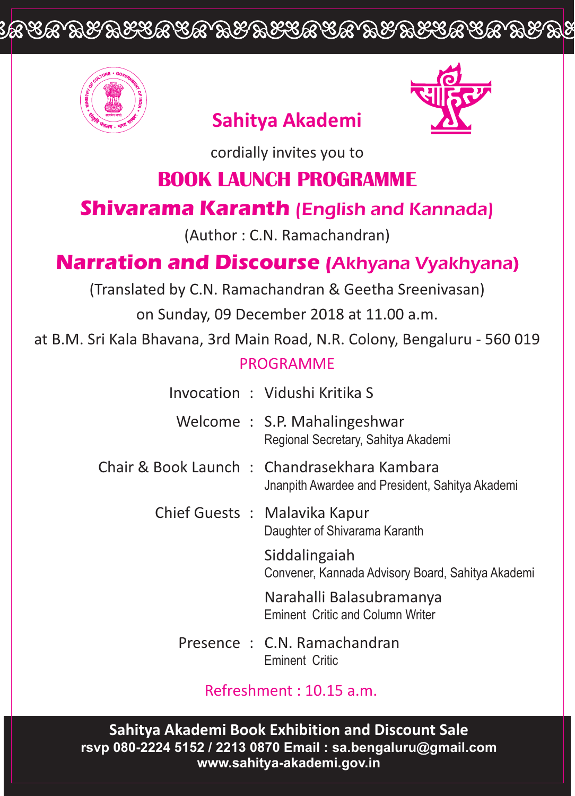# <u>IA SA WASASA ARA IKABASA KA IKABA SA KA</u>



### **Sahitya Akademi**



cordially invites you to

### **BOOK LAUNCH PROGRAMME**

### **Shivarama Karanth** (English and Kannada)

(Author : C.N. Ramachandran)

## **Narration and Discourse (**Akhyana Vyakhyana)

(Translated by C.N. Ramachandran & Geetha Sreenivasan)

on Sunday, 09 December 2018 at 11.00 a.m.

at B.M. Sri Kala Bhavana, 3rd Main Road, N.R. Colony, Bengaluru - 560 019

#### PROGRAMME

- Invocation : Vidushi Kritika S
- Welcome : S.P. Mahalingeshwar Regional Secretary, Sahitya Akademi
- Chair & Book Launch : Chandrasekhara Kambara Jnanpith Awardee and President, Sahitya Akademi

Chief Guests : Malavika Kapur Daughter of Shivarama Karanth

> Siddalingaiah Convener, Kannada Advisory Board, Sahitya Akademi

Narahalli Balasubramanya Eminent Critic and Column Writer

Presence : C.N. Ramachandran Eminent Critic

Refreshment : 10.15 a.m.

**Sahitya Akademi Book Exhibition and Discount Sale rsvp 080-2224 5152 / 2213 0870 Email : sa.bengaluru@gmail.com www.sahitya-akademi.gov.in**